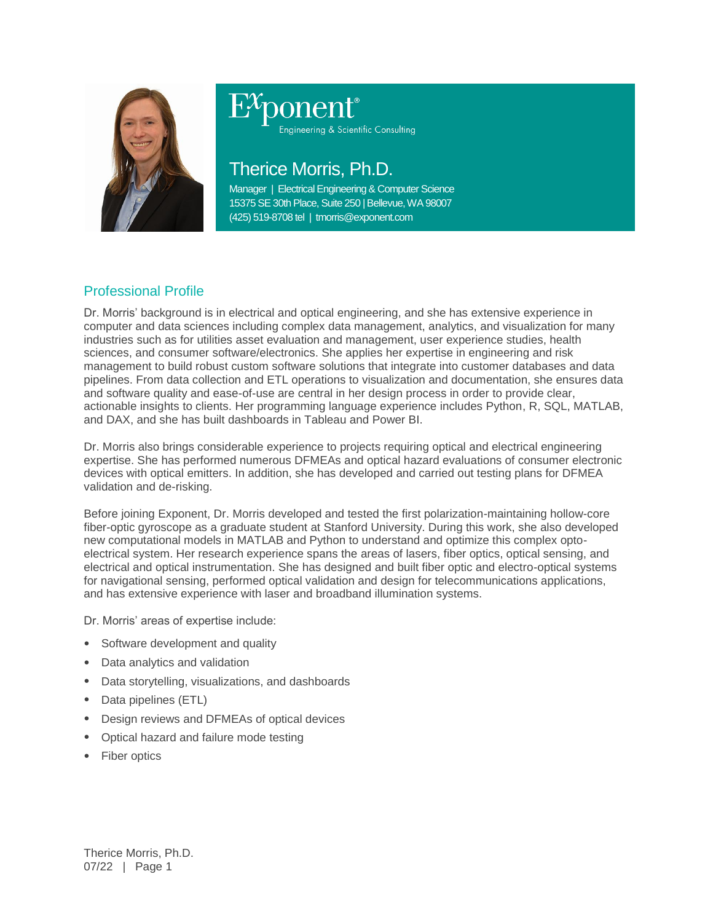

# ponent®

Engineering & Scientific Consulting

## Therice Morris, Ph.D.

Manager | Electrical Engineering & Computer Science 15375 SE 30th Place, Suite 250 | Bellevue, WA 98007 (425) 519-8708 tel | tmorris@exponent.com

### Professional Profile

Dr. Morris' background is in electrical and optical engineering, and she has extensive experience in computer and data sciences including complex data management, analytics, and visualization for many industries such as for utilities asset evaluation and management, user experience studies, health sciences, and consumer software/electronics. She applies her expertise in engineering and risk management to build robust custom software solutions that integrate into customer databases and data pipelines. From data collection and ETL operations to visualization and documentation, she ensures data and software quality and ease-of-use are central in her design process in order to provide clear, actionable insights to clients. Her programming language experience includes Python, R, SQL, MATLAB, and DAX, and she has built dashboards in Tableau and Power BI.

Dr. Morris also brings considerable experience to projects requiring optical and electrical engineering expertise. She has performed numerous DFMEAs and optical hazard evaluations of consumer electronic devices with optical emitters. In addition, she has developed and carried out testing plans for DFMEA validation and de-risking.

Before joining Exponent, Dr. Morris developed and tested the first polarization-maintaining hollow-core fiber-optic gyroscope as a graduate student at Stanford University. During this work, she also developed new computational models in MATLAB and Python to understand and optimize this complex optoelectrical system. Her research experience spans the areas of lasers, fiber optics, optical sensing, and electrical and optical instrumentation. She has designed and built fiber optic and electro-optical systems for navigational sensing, performed optical validation and design for telecommunications applications, and has extensive experience with laser and broadband illumination systems.

Dr. Morris' areas of expertise include:

- Software development and quality
- Data analytics and validation
- Data storytelling, visualizations, and dashboards
- Data pipelines (ETL)
- Design reviews and DFMEAs of optical devices
- Optical hazard and failure mode testing
- Fiber optics